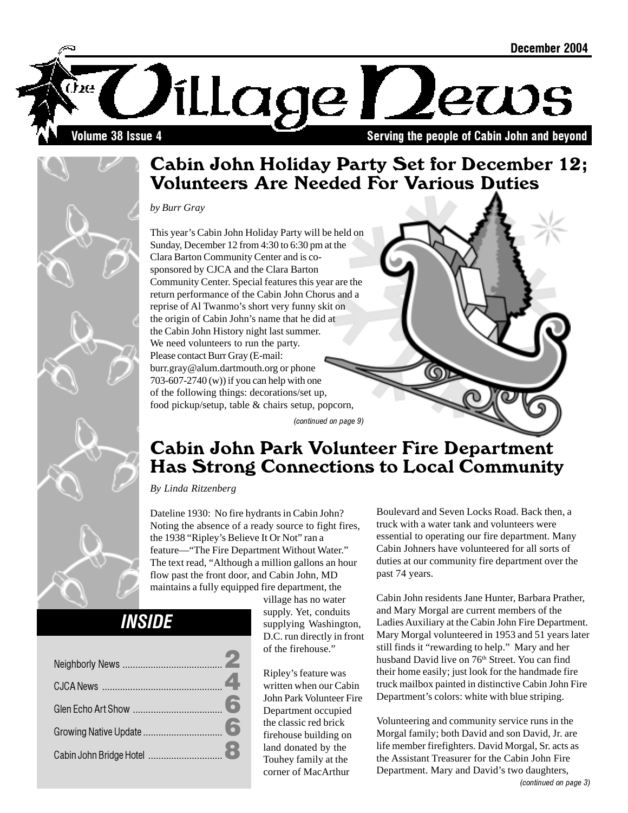

### Cabin John Holiday Party Set for December 12; Volunteers Are Needed For Various Duties

*by Burr Gray*

This year's Cabin John Holiday Party will be held on Sunday, December 12 from 4:30 to 6:30 pm at the Clara Barton Community Center and is cosponsored by CJCA and the Clara Barton Community Center. Special features this year are the return performance of the Cabin John Chorus and a reprise of Al Twanmo's short very funny skit on the origin of Cabin John's name that he did at the Cabin John History night last summer. We need volunteers to run the party. Please contact Burr Gray (E-mail: burr.gray@alum.dartmouth.org or phone 703-607-2740 (w)) if you can help with one of the following things: decorations/set up, food pickup/setup, table & chairs setup, popcorn,

(continued on page 9)

### Cabin John Park Volunteer Fire Department Has Strong Connections to Local Community

*By Linda Ritzenberg*

Dateline 1930: No fire hydrants in Cabin John? Noting the absence of a ready source to fight fires, the 1938 "Ripley's Believe It Or Not" ran a feature—"The Fire Department Without Water." The text read, "Although a million gallons an hour flow past the front door, and Cabin John, MD maintains a fully equipped fire department, the

### **INSIDE**

village has no water supply. Yet, conduits supplying Washington, D.C. run directly in front of the firehouse."

Ripley's feature was written when our Cabin John Park Volunteer Fire Department occupied the classic red brick firehouse building on land donated by the Touhey family at the corner of MacArthur

Boulevard and Seven Locks Road. Back then, a truck with a water tank and volunteers were essential to operating our fire department. Many Cabin Johners have volunteered for all sorts of duties at our community fire department over the past 74 years.

Cabin John residents Jane Hunter, Barbara Prather, and Mary Morgal are current members of the Ladies Auxiliary at the Cabin John Fire Department. Mary Morgal volunteered in 1953 and 51 years later still finds it "rewarding to help." Mary and her husband David live on 76<sup>th</sup> Street. You can find their home easily; just look for the handmade fire truck mailbox painted in distinctive Cabin John Fire Department's colors: white with blue striping.

Volunteering and community service runs in the Morgal family; both David and son David, Jr. are life member firefighters. David Morgal, Sr. acts as the Assistant Treasurer for the Cabin John Fire Department. Mary and David's two daughters,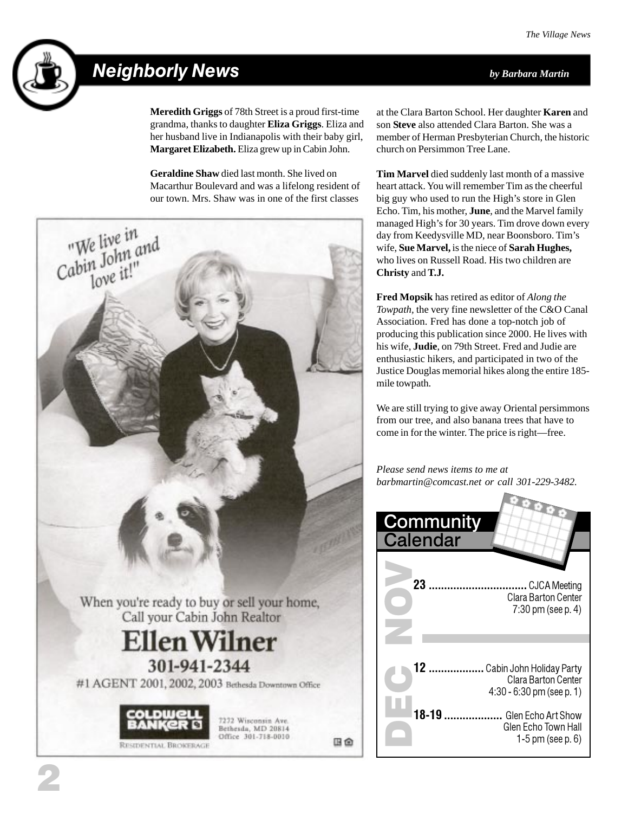

### Neighborly News *by Barbara Martin*

**Meredith Griggs** of 78th Street is a proud first-time grandma, thanks to daughter **Eliza Griggs**. Eliza and her husband live in Indianapolis with their baby girl, **Margaret Elizabeth.** Eliza grew up in Cabin John.

**Geraldine Shaw** died last month. She lived on Macarthur Boulevard and was a lifelong resident of our town. Mrs. Shaw was in one of the first classes



at the Clara Barton School. Her daughter **Karen** and son **Steve** also attended Clara Barton. She was a member of Herman Presbyterian Church, the historic church on Persimmon Tree Lane.

**Tim Marvel** died suddenly last month of a massive heart attack. You will remember Tim as the cheerful big guy who used to run the High's store in Glen Echo. Tim, his mother, **June**, and the Marvel family managed High's for 30 years. Tim drove down every day from Keedysville MD, near Boonsboro. Tim's wife, **Sue Marvel,** is the niece of **Sarah Hughes,** who lives on Russell Road. His two children are **Christy** and **T.J.**

**Fred Mopsik** has retired as editor of *Along the Towpath,* the very fine newsletter of the C&O Canal Association. Fred has done a top-notch job of producing this publication since 2000. He lives with his wife, **Judie**, on 79th Street. Fred and Judie are enthusiastic hikers, and participated in two of the Justice Douglas memorial hikes along the entire 185 mile towpath.

We are still trying to give away Oriental persimmons from our tree, and also banana trees that have to come in for the winter. The price is right—free.

*Please send news items to me at barbmartin@comcast.net or call 301-229-3482.*

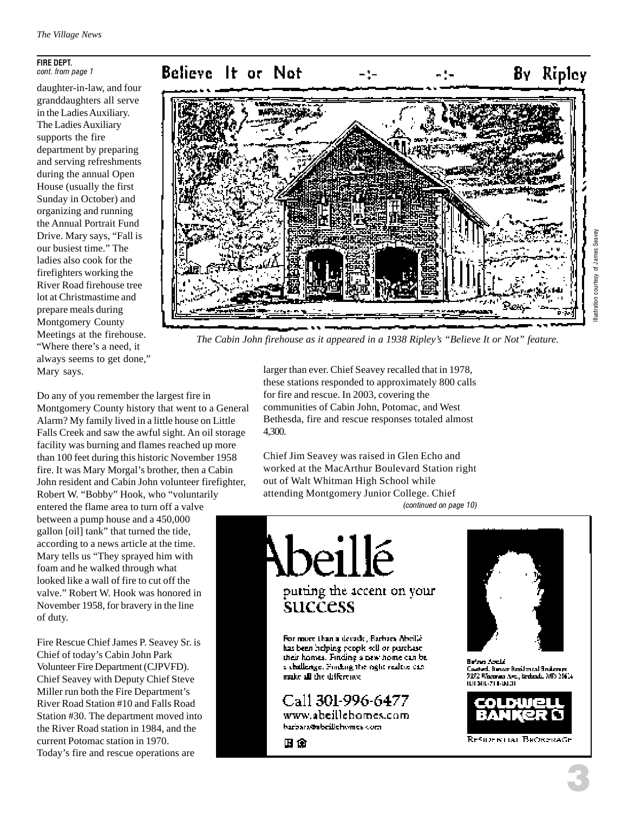#### FIRE DEPT. cont. from page 1

daughter-in-law, and four granddaughters all serve in the Ladies Auxiliary. The Ladies Auxiliary supports the fire department by preparing and serving refreshments during the annual Open House (usually the first Sunday in October) and organizing and running the Annual Portrait Fund Drive. Mary says, "Fall is our busiest time." The ladies also cook for the firefighters working the River Road firehouse tree lot at Christmastime and prepare meals during Montgomery County Meetings at the firehouse. "Where there's a need, it always seems to get done," Mary says.



*The Cabin John firehouse as it appeared in a 1938 Ripley's "Believe It or Not" feature.*

Do any of you remember the largest fire in Montgomery County history that went to a General Alarm? My family lived in a little house on Little Falls Creek and saw the awful sight. An oil storage facility was burning and flames reached up more than 100 feet during this historic November 1958 fire. It was Mary Morgal's brother, then a Cabin John resident and Cabin John volunteer firefighter, Robert W. "Bobby" Hook, who "voluntarily entered the flame area to turn off a valve between a pump house and a 450,000 gallon [oil] tank" that turned the tide, according to a news article at the time. Mary tells us "They sprayed him with foam and he walked through what looked like a wall of fire to cut off the valve." Robert W. Hook was honored in November 1958, for bravery in the line of duty.

Fire Rescue Chief James P. Seavey Sr. is Chief of today's Cabin John Park Volunteer Fire Department (CJPVFD). Chief Seavey with Deputy Chief Steve Miller run both the Fire Department's River Road Station #10 and Falls Road Station #30. The department moved into the River Road station in 1984, and the current Potomac station in 1970. Today's fire and rescue operations are

larger than ever. Chief Seavey recalled that in 1978, these stations responded to approximately 800 calls for fire and rescue. In 2003, covering the communities of Cabin John, Potomac, and West Bethesda, fire and rescue responses totaled almost 4,300.

Chief Jim Seavey was raised in Glen Echo and worked at the MacArthur Boulevard Station right out of Walt Whitman High School while attending Montgomery Junior College. Chief (continued on page 10)

putting the accent on your success For more than a decade, Barbara Abeillé.

eillé

has been helping propic sell or purchase their honses. Finding a new home can be a challenge. Finding the right realtie canmake all the difference

Call 301-996-6477 www.abeillehomes.com

barbara@abrillehomes.com

国命



غلصة صراءة Custed, Bancar Basilen and Studen pe 9192 Warenau Are, Brekendi, MD 20614 ILII SIIL-711-DUZII

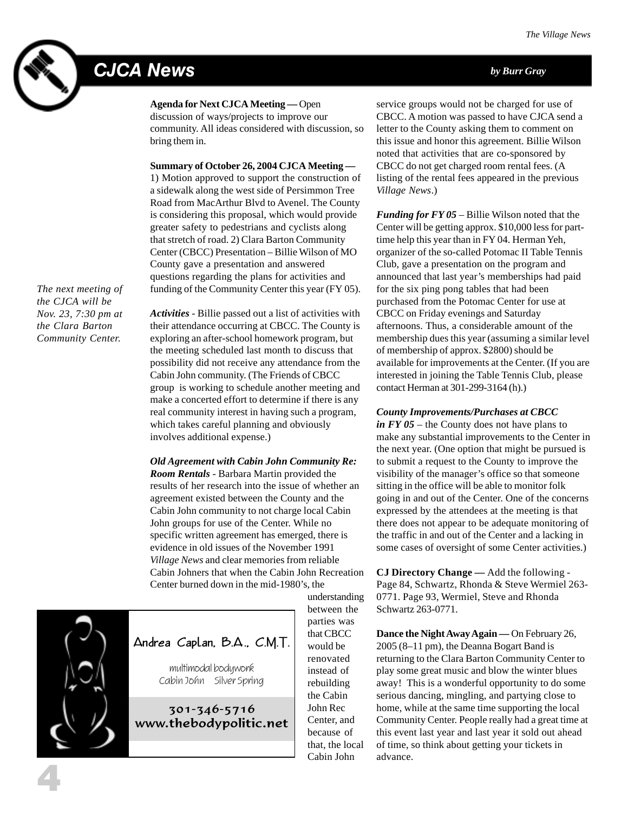# CJCA News *by Burr Gray*



**Agenda for Next CJCA Meeting —** Open

discussion of ways/projects to improve our community. All ideas considered with discussion, so bring them in.

#### **Summary of October 26, 2004 CJCA Meeting —**

1) Motion approved to support the construction of a sidewalk along the west side of Persimmon Tree Road from MacArthur Blvd to Avenel. The County is considering this proposal, which would provide greater safety to pedestrians and cyclists along that stretch of road. 2) Clara Barton Community Center (CBCC) Presentation – Billie Wilson of MO County gave a presentation and answered questions regarding the plans for activities and funding of the Community Center this year (FY 05).

*The next meeting of the CJCA will be Nov. 23, 7:30 pm at the Clara Barton Community Center.*

*Activities* - Billie passed out a list of activities with their attendance occurring at CBCC. The County is exploring an after-school homework program, but the meeting scheduled last month to discuss that possibility did not receive any attendance from the Cabin John community. (The Friends of CBCC group is working to schedule another meeting and make a concerted effort to determine if there is any real community interest in having such a program, which takes careful planning and obviously involves additional expense.)

*Old Agreement with Cabin John Community Re: Room Rentals* - Barbara Martin provided the results of her research into the issue of whether an agreement existed between the County and the Cabin John community to not charge local Cabin John groups for use of the Center. While no specific written agreement has emerged, there is evidence in old issues of the November 1991 *Village News* and clear memories from reliable Cabin Johners that when the Cabin John Recreation Center burned down in the mid-1980's, the



4

Andrea Caplan, B.A., C.M.T.

multimodal bodywork Cabin John Silver Spring

301-346-5716 www.thebodypolitic.net understanding between the parties was that CBCC would be renovated instead of rebuilding the Cabin John Rec Center, and because of that, the local Cabin John

service groups would not be charged for use of CBCC. A motion was passed to have CJCA send a letter to the County asking them to comment on this issue and honor this agreement. Billie Wilson noted that activities that are co-sponsored by CBCC do not get charged room rental fees. (A listing of the rental fees appeared in the previous *Village News*.)

*Funding for FY 05* – Billie Wilson noted that the Center will be getting approx. \$10,000 less for parttime help this year than in FY 04. Herman Yeh, organizer of the so-called Potomac II Table Tennis Club, gave a presentation on the program and announced that last year's memberships had paid for the six ping pong tables that had been purchased from the Potomac Center for use at CBCC on Friday evenings and Saturday afternoons. Thus, a considerable amount of the membership dues this year (assuming a similar level of membership of approx. \$2800) should be available for improvements at the Center. (If you are interested in joining the Table Tennis Club, please contact Herman at 301-299-3164 (h).)

#### *County Improvements/Purchases at CBCC*

*in FY 05* – the County does not have plans to make any substantial improvements to the Center in the next year. (One option that might be pursued is to submit a request to the County to improve the visibility of the manager's office so that someone sitting in the office will be able to monitor folk going in and out of the Center. One of the concerns expressed by the attendees at the meeting is that there does not appear to be adequate monitoring of the traffic in and out of the Center and a lacking in some cases of oversight of some Center activities.)

**CJ Directory Change —** Add the following - Page 84, Schwartz, Rhonda & Steve Wermiel 263- 0771. Page 93, Wermiel, Steve and Rhonda Schwartz 263-0771.

**Dance the Night Away Again —** On February 26, 2005 (8–11 pm), the Deanna Bogart Band is returning to the Clara Barton Community Center to play some great music and blow the winter blues away! This is a wonderful opportunity to do some serious dancing, mingling, and partying close to home, while at the same time supporting the local Community Center. People really had a great time at this event last year and last year it sold out ahead of time, so think about getting your tickets in advance.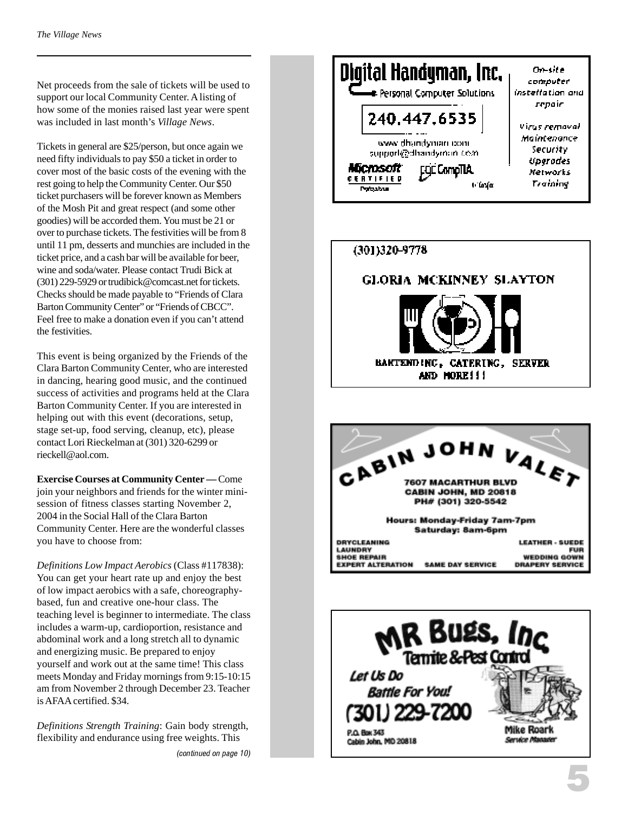Net proceeds from the sale of tickets will be used to support our local Community Center. A listing of how some of the monies raised last year were spent was included in last month's *Village News* .

Tickets in general are \$25/person, but once again we need fifty individuals to pay \$50 a ticket in order to cover most of the basic costs of the evening with the rest going to help the Community Center. Our \$50 ticket purchasers will be forever known as Members of the Mosh Pit and great respect (and some other goodies) will be accorded them. You must be 21 or over to purchase tickets. The festivities will be from 8 until 11 pm, desserts and munchies are included in the ticket price, and a cash bar will be available for beer, wine and soda/water. Please contact Trudi Bick at (301) 229-5929 or trudibick@comcast.net for tickets. Checks should be made payable to "Friends of Clara Barton Community Center" or "Friends of CBCC". Feel free to make a donation even if you can't attend the festivities.

This event is being organized by the Friends of the Clara Barton Community Center, who are interested in dancing, hearing good music, and the continued success of activities and programs held at the Clara Barton Community Center. If you are interested in helping out with this event (decorations, setup, stage set-up, food serving, cleanup, etc), please contact Lori Rieckelman at (301) 320-6299 or rieckell@aol.com.

**Exercise Courses at Community Center —** Come join your neighbors and friends for the winter minisession of fitness classes starting November 2, 2004 in the Social Hall of the Clara Barton Community Center. Here are the wonderful classes you have to choose from:

*Definitions Low Impact Aerobics* (Class #117838): You can get your heart rate up and enjoy the best of low impact aerobics with a safe, choreographybased, fun and creative one-hour class. The teaching level is beginner to intermediate. The class includes a warm-up, cardioportion, resistance and abdominal work and a long stretch all to dynamic and energizing music. Be prepared to enjoy yourself and work out at the same time! This class meets Monday and Friday mornings from 9:15-10:15 am from November 2 through December 23. Teacher is AFAA certified. \$34.

*Definitions Strength Training*: Gain body strength, flexibility and endurance using free weights. This

(continued on page 10)





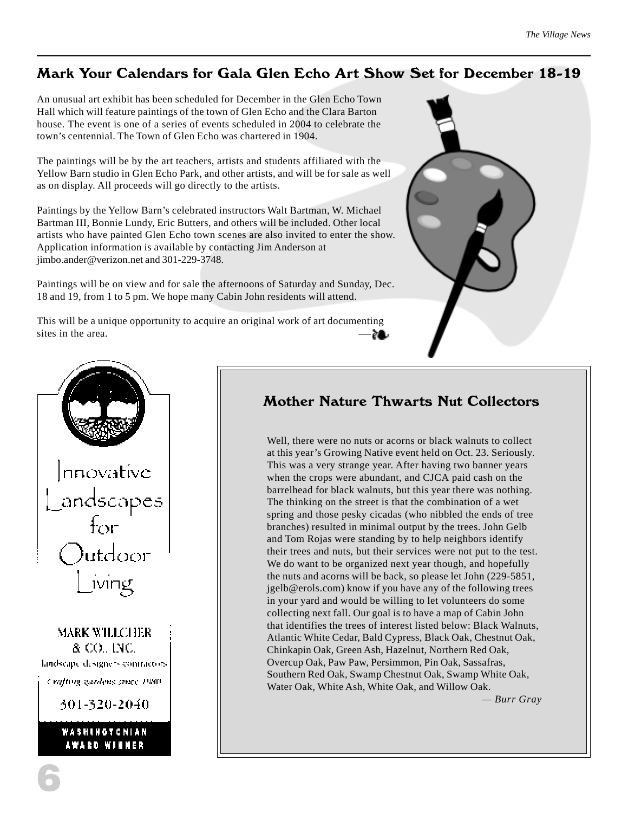#### Mark Your Calendars for Gala Glen Echo Art Show Set for December 18-19

An unusual art exhibit has been scheduled for December in the Glen Echo Town Hall which will feature paintings of the town of Glen Echo and the Clara Barton house. The event is one of a series of events scheduled in 2004 to celebrate the town's centennial. The Town of Glen Echo was chartered in 1904.

The paintings will be by the art teachers, artists and students affiliated with the Yellow Barn studio in Glen Echo Park, and other artists, and will be for sale as well as on display. All proceeds will go directly to the artists.

Paintings by the Yellow Barn's celebrated instructors Walt Bartman, W. Michael Bartman III, Bonnie Lundy, Eric Butters, and others will be included. Other local artists who have painted Glen Echo town scenes are also invited to enter the show. Application information is available by contacting Jim Anderson at jimbo.ander@verizon.net and 301-229-3748.

Paintings will be on view and for sale the afternoons of Saturday and Sunday, Dec. 18 and 19, from 1 to 5 pm. We hope many Cabin John residents will attend.

This will be a unique opportunity to acquire an original work of art documenting sites in the area. —





#### Mother Nature Thwarts Nut Collectors

Well, there were no nuts or acorns or black walnuts to collect at this year's Growing Native event held on Oct. 23. Seriously. This was a very strange year. After having two banner years when the crops were abundant, and CJCA paid cash on the barrelhead for black walnuts, but this year there was nothing. The thinking on the street is that the combination of a wet spring and those pesky cicadas (who nibbled the ends of tree branches) resulted in minimal output by the trees. John Gelb and Tom Rojas were standing by to help neighbors identify their trees and nuts, but their services were not put to the test. We do want to be organized next year though, and hopefully the nuts and acorns will be back, so please let John (229-5851, jgelb@erols.com) know if you have any of the following trees in your yard and would be willing to let volunteers do some collecting next fall. Our goal is to have a map of Cabin John that identifies the trees of interest listed below: Black Walnuts, Atlantic White Cedar, Bald Cypress, Black Oak, Chestnut Oak, Chinkapin Oak, Green Ash, Hazelnut, Northern Red Oak, Overcup Oak, Paw Paw, Persimmon, Pin Oak, Sassafras, Southern Red Oak, Swamp Chestnut Oak, Swamp White Oak, Water Oak, White Ash, White Oak, and Willow Oak.

*— Burr Gray*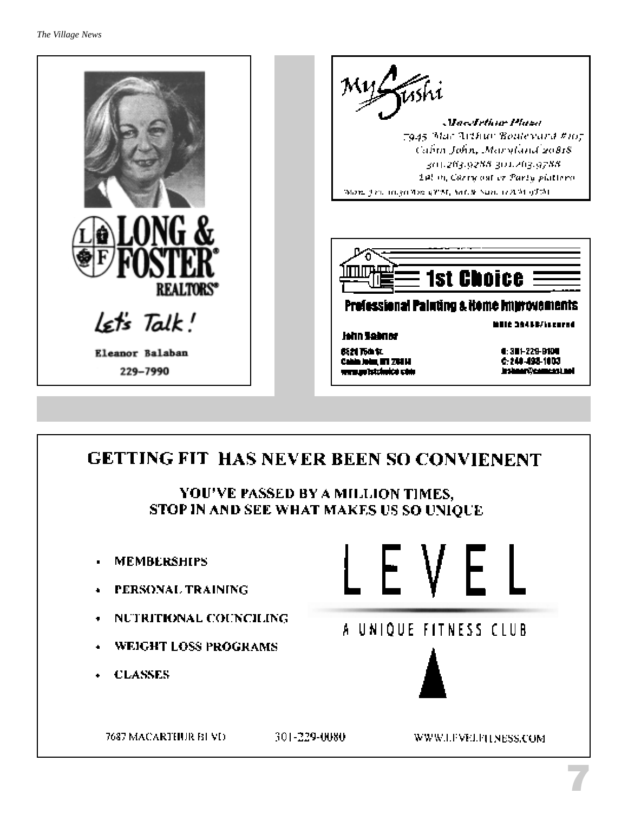

## GETTING FIT HAS NEVER BEEN SO CONVIENENT YOU'VE PASSED BY A MILLION TIMES, STOP IN AND SEE WHAT MAKES US SO UNIOUE



7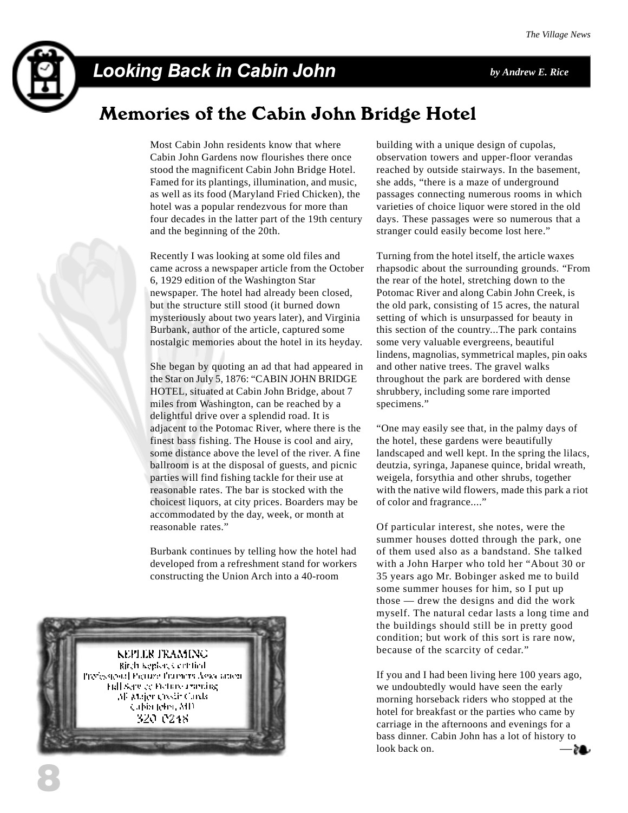

### Looking Back in Cabin John *by Andrew E. Rice*

### Memories of the Cabin John Bridge Hotel

Most Cabin John residents know that where Cabin John Gardens now flourishes there once stood the magnificent Cabin John Bridge Hotel. Famed for its plantings, illumination, and music, as well as its food (Maryland Fried Chicken), the hotel was a popular rendezvous for more than four decades in the latter part of the 19th century and the beginning of the 20th.

Recently I was looking at some old files and came across a newspaper article from the October 6, 1929 edition of the Washington Star newspaper. The hotel had already been closed, but the structure still stood (it burned down mysteriously about two years later), and Virginia Burbank, author of the article, captured some nostalgic memories about the hotel in its heyday.

She began by quoting an ad that had appeared in the Star on July 5, 1876: "CABIN JOHN BRIDGE HOTEL, situated at Cabin John Bridge, about 7 miles from Washington, can be reached by a delightful drive over a splendid road. It is adjacent to the Potomac River, where there is the finest bass fishing. The House is cool and airy, some distance above the level of the river. A fine ballroom is at the disposal of guests, and picnic parties will find fishing tackle for their use at reasonable rates. The bar is stocked with the choicest liquors, at city prices. Boarders may be accommodated by the day, week, or month at reasonable rates."

Burbank continues by telling how the hotel had developed from a refreshment stand for workers constructing the Union Arch into a 40-room



building with a unique design of cupolas, observation towers and upper-floor verandas reached by outside stairways. In the basement, she adds, "there is a maze of underground passages connecting numerous rooms in which varieties of choice liquor were stored in the old days. These passages were so numerous that a stranger could easily become lost here."

Turning from the hotel itself, the article waxes rhapsodic about the surrounding grounds. "From the rear of the hotel, stretching down to the Potomac River and along Cabin John Creek, is the old park, consisting of 15 acres, the natural setting of which is unsurpassed for beauty in this section of the country...The park contains some very valuable evergreens, beautiful lindens, magnolias, symmetrical maples, pin oaks and other native trees. The gravel walks throughout the park are bordered with dense shrubbery, including some rare imported specimens."

"One may easily see that, in the palmy days of the hotel, these gardens were beautifully landscaped and well kept. In the spring the lilacs, deutzia, syringa, Japanese quince, bridal wreath, weigela, forsythia and other shrubs, together with the native wild flowers, made this park a riot of color and fragrance...."

Of particular interest, she notes, were the summer houses dotted through the park, one of them used also as a bandstand. She talked with a John Harper who told her "About 30 or 35 years ago Mr. Bobinger asked me to build some summer houses for him, so I put up those — drew the designs and did the work myself. The natural cedar lasts a long time and the buildings should still be in pretty good condition; but work of this sort is rare now, because of the scarcity of cedar."

If you and I had been living here 100 years ago, we undoubtedly would have seen the early morning horseback riders who stopped at the hotel for breakfast or the parties who came by carriage in the afternoons and evenings for a bass dinner. Cabin John has a lot of history to look back on. -81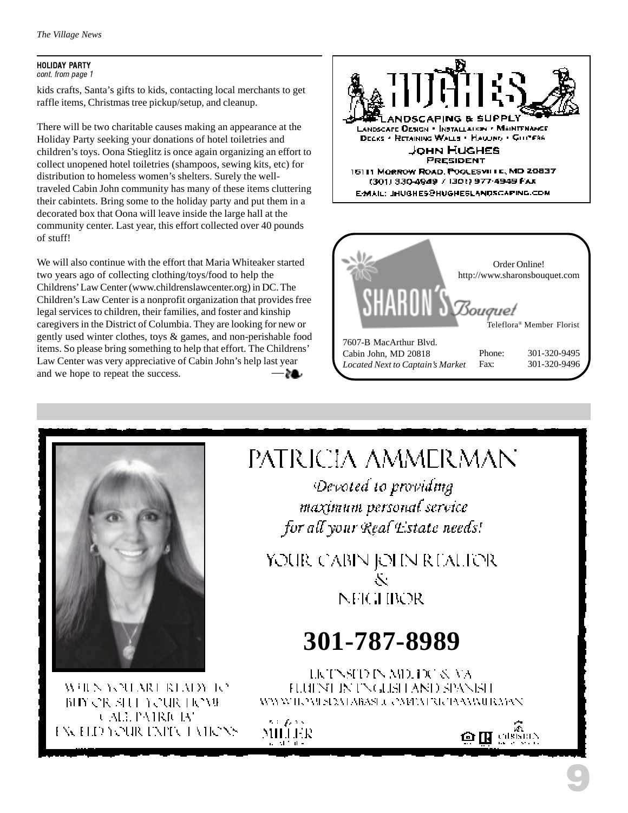#### HOLIDAY PARTY cont. from page 1

kids crafts, Santa's gifts to kids, contacting local merchants to get raffle items, Christmas tree pickup/setup, and cleanup.

There will be two charitable causes making an appearance at the Holiday Party seeking your donations of hotel toiletries and children's toys. Oona Stieglitz is once again organizing an effort to collect unopened hotel toiletries (shampoos, sewing kits, etc) for distribution to homeless women's shelters. Surely the welltraveled Cabin John community has many of these items cluttering their cabintets. Bring some to the holiday party and put them in a decorated box that Oona will leave inside the large hall at the community center. Last year, this effort collected over 40 pounds of stuff!

— We will also continue with the effort that Maria Whiteaker started two years ago of collecting clothing/toys/food to help the Childrens' Law Center (www.childrenslawcenter.org) in DC. The Children's Law Center is a nonprofit organization that provides free legal services to children, their families, and foster and kinship caregivers in the District of Columbia. They are looking for new or gently used winter clothes, toys & games, and non-perishable food items. So please bring something to help that effort. The Childrens' Law Center was very appreciative of Cabin John's help last year and we hope to repeat the success.







WHEN YOU MOUNTAIN TO BIY OR SHE YOUR HOME CALL PATRICIAN EXCELD YOUR EXPICT VIRONS

# PATRICIA AMMERMAN

Devoted to providing maximum personal service for all your Real Estate needs!

YOUR CABIN JOHN REALIER Ň. NFIGHROR

# **301-787-8989**

LICTNSTD IN AID, DC & VA HUINT IN INGUST AND SPANIST WWW.HOMEROM ABASE COMPATIONAMATER MAN

s a gan s MILLER

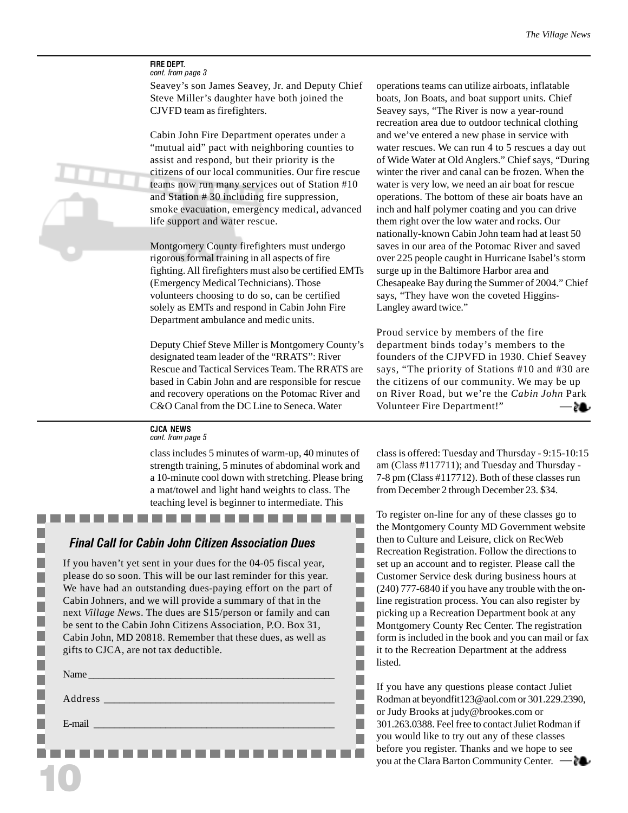#### FIRE DEPT. cont. from page 3

Seavey's son James Seavey, Jr. and Deputy Chief Steve Miller's daughter have both joined the CJVFD team as firefighters.

Cabin John Fire Department operates under a "mutual aid" pact with neighboring counties to assist and respond, but their priority is the citizens of our local communities. Our fire rescue teams now run many services out of Station #10 and Station # 30 including fire suppression, smoke evacuation, emergency medical, advanced life support and water rescue.

Montgomery County firefighters must undergo rigorous formal training in all aspects of fire fighting. All firefighters must also be certified EMTs (Emergency Medical Technicians). Those volunteers choosing to do so, can be certified solely as EMTs and respond in Cabin John Fire Department ambulance and medic units.

Deputy Chief Steve Miller is Montgomery County's designated team leader of the "RRATS": River Rescue and Tactical Services Team. The RRATS are based in Cabin John and are responsible for rescue and recovery operations on the Potomac River and C&O Canal from the DC Line to Seneca. Water

operations teams can utilize airboats, inflatable boats, Jon Boats, and boat support units. Chief Seavey says, "The River is now a year-round recreation area due to outdoor technical clothing and we've entered a new phase in service with water rescues. We can run 4 to 5 rescues a day out of Wide Water at Old Anglers." Chief says, "During winter the river and canal can be frozen. When the water is very low, we need an air boat for rescue operations. The bottom of these air boats have an inch and half polymer coating and you can drive them right over the low water and rocks. Our nationally-known Cabin John team had at least 50 saves in our area of the Potomac River and saved over 225 people caught in Hurricane Isabel's storm surge up in the Baltimore Harbor area and Chesapeake Bay during the Summer of 2004." Chief says, "They have won the coveted Higgins-Langley award twice."

— Proud service by members of the fire department binds today's members to the founders of the CJPVFD in 1930. Chief Seavey says, "The priority of Stations #10 and #30 are the citizens of our community. We may be up on River Road, but we're the *Cabin John* Park Volunteer Fire Department!"

#### CJCA NEWS

cont. from page 5

class includes 5 minutes of warm-up, 40 minutes of strength training, 5 minutes of abdominal work and a 10-minute cool down with stretching. Please bring a mat/towel and light hand weights to class. The teaching level is beginner to intermediate. This

**Contract** 

**The Committee** 

٠ П п п п п ٠ ш П П п П

#### Final Call for Cabin John Citizen Association Dues

 $\sim$  $\sim$ **College** 

If you haven't yet sent in your dues for the 04-05 fiscal year, please do so soon. This will be our last reminder for this year. We have had an outstanding dues-paying effort on the part of Cabin Johners, and we will provide a summary of that in the next *Village News*. The dues are \$15/person or family and can be sent to the Cabin John Citizens Association, P.O. Box 31, Cabin John, MD 20818. Remember that these dues, as well as gifts to CJCA, are not tax deductible.

| E-mail and the contract of the contract of the contract of the contract of the contract of the contract of the |
|----------------------------------------------------------------------------------------------------------------|
|                                                                                                                |

10

. . . . . . .

class is offered: Tuesday and Thursday - 9:15-10:15 am (Class #117711); and Tuesday and Thursday - 7-8 pm (Class #117712). Both of these classes run from December 2 through December 23. \$34.

To register on-line for any of these classes go to the Montgomery County MD Government website then to Culture and Leisure, click on RecWeb Recreation Registration. Follow the directions to set up an account and to register. Please call the Customer Service desk during business hours at (240) 777-6840 if you have any trouble with the online registration process. You can also register by picking up a Recreation Department book at any Montgomery County Rec Center. The registration form is included in the book and you can mail or fax it to the Recreation Department at the address listed.

If you have any questions please contact Juliet Rodman at beyondfit123@aol.com or 301.229.2390, or Judy Brooks at judy@brookes.com or 301.263.0388. Feel free to contact Juliet Rodman if you would like to try out any of these classes before you register. Thanks and we hope to see you at the Clara Barton Community Center. —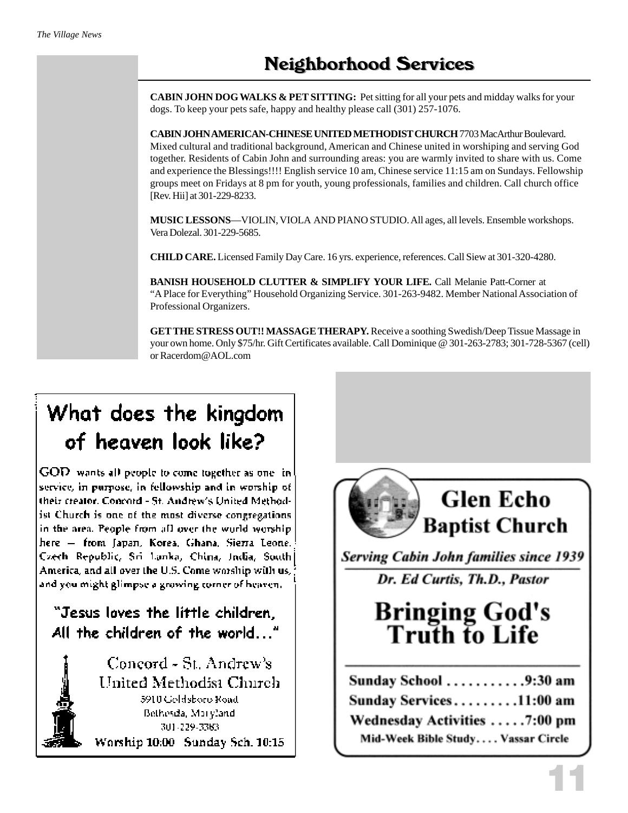**CABIN JOHN DOG WALKS & PET SITTING:** Pet sitting for all your pets and midday walks for your dogs. To keep your pets safe, happy and healthy please call (301) 257-1076.

**CABIN JOHN AMERICAN-CHINESE UNITED METHODIST CHURCH** 7703 MacArthur Boulevard. Mixed cultural and traditional background, American and Chinese united in worshiping and serving God together. Residents of Cabin John and surrounding areas: you are warmly invited to share with us. Come and experience the Blessings!!!! English service 10 am, Chinese service 11:15 am on Sundays. Fellowship groups meet on Fridays at 8 pm for youth, young professionals, families and children. Call church office [Rev. Hii] at 301-229-8233.

**MUSIC LESSONS**—VIOLIN, VIOLA AND PIANO STUDIO. All ages, all levels. Ensemble workshops. Vera Dolezal. 301-229-5685.

**CHILD CARE.** Licensed Family Day Care. 16 yrs. experience, references. Call Siew at 301-320-4280.

**BANISH HOUSEHOLD CLUTTER & SIMPLIFY YOUR LIFE.** Call Melanie Patt-Corner at "A Place for Everything" Household Organizing Service. 301-263-9482. Member National Association of Professional Organizers.

**GET THE STRESS OUT!! MASSAGE THERAPY.** Receive a soothing Swedish/Deep Tissue Massage in your own home. Only \$75/hr. Gift Certificates available. Call Dominique @ 301-263-2783; 301-728-5367 (cell) or Racerdom@AOL.com

# What does the kingdom of heaven look like?

GOD wants all people to come together as one inservice, in purpose, in fellowship and in worship of their creator. Concord - St. Andrew's United Methodist Church is one of the most diverse congregations in the area. People from all over the world worship. here - from Japan, Korea, Ghana, Sierra Leone. Czech Republic, Sri Lanka, China, India, South] America, and all over the U.S. Come worship with us,  $\langle$ and you might glimpse a growing corner of heaven.

### "Jesus loves the little children, All the children of the world..."

Concord - St. Andrew's United Methodist Church 5910 Goldsboro Road Bethesda, Maryland 301-229-3383 Worship 10:00 Sunday Sch. 10:15



**Serving Cabin John families since 1939** 

Dr. Ed Curtis, Th.D., Pastor

**Bringing God's<br>Truth to Life** 

| Sunday School 9:30 am              |  |
|------------------------------------|--|
| Sunday Services11:00 am            |  |
| Wednesday Activities 7:00 pm       |  |
| Mid-Week Bible Study Vassar Circle |  |

11